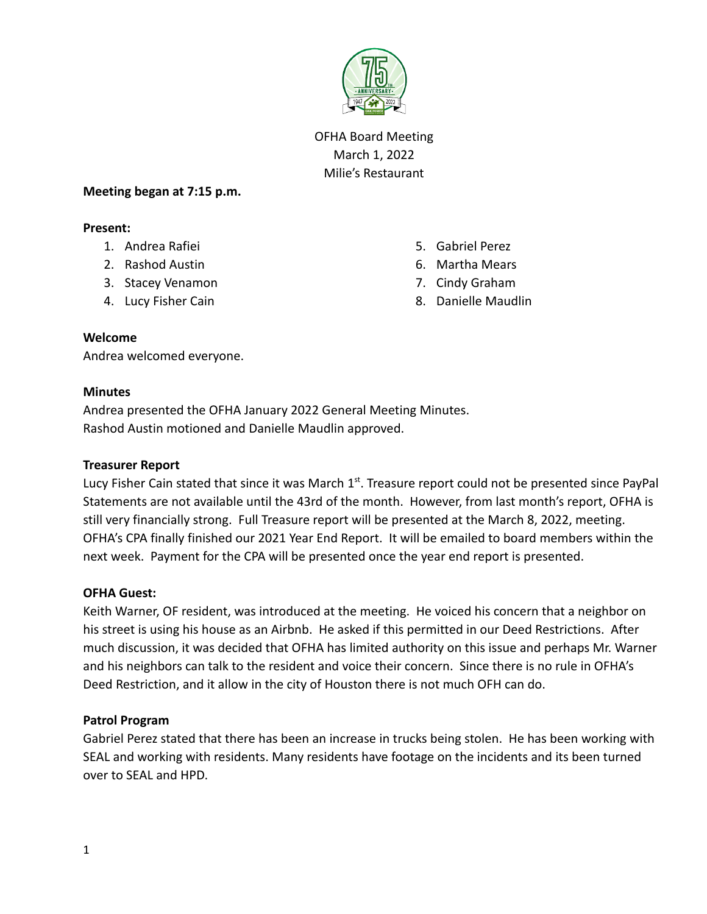

OFHA Board Meeting March 1, 2022 Milie's Restaurant

### **Meeting began at 7:15 p.m.**

### **Present:**

- 1. Andrea Rafiei
- 2. Rashod Austin
- 3. Stacey Venamon
- 4. Lucy Fisher Cain
- 5. Gabriel Perez
- 6. Martha Mears
- 7. Cindy Graham
- 8. Danielle Maudlin

### **Welcome**

Andrea welcomed everyone.

#### **Minutes**

Andrea presented the OFHA January 2022 General Meeting Minutes. Rashod Austin motioned and Danielle Maudlin approved.

### **Treasurer Report**

Lucy Fisher Cain stated that since it was March  $1<sup>st</sup>$ . Treasure report could not be presented since PayPal Statements are not available until the 43rd of the month. However, from last month's report, OFHA is still very financially strong. Full Treasure report will be presented at the March 8, 2022, meeting. OFHA's CPA finally finished our 2021 Year End Report. It will be emailed to board members within the next week. Payment for the CPA will be presented once the year end report is presented.

### **OFHA Guest:**

Keith Warner, OF resident, was introduced at the meeting. He voiced his concern that a neighbor on his street is using his house as an Airbnb. He asked if this permitted in our Deed Restrictions. After much discussion, it was decided that OFHA has limited authority on this issue and perhaps Mr. Warner and his neighbors can talk to the resident and voice their concern. Since there is no rule in OFHA's Deed Restriction, and it allow in the city of Houston there is not much OFH can do.

### **Patrol Program**

Gabriel Perez stated that there has been an increase in trucks being stolen. He has been working with SEAL and working with residents. Many residents have footage on the incidents and its been turned over to SEAL and HPD.